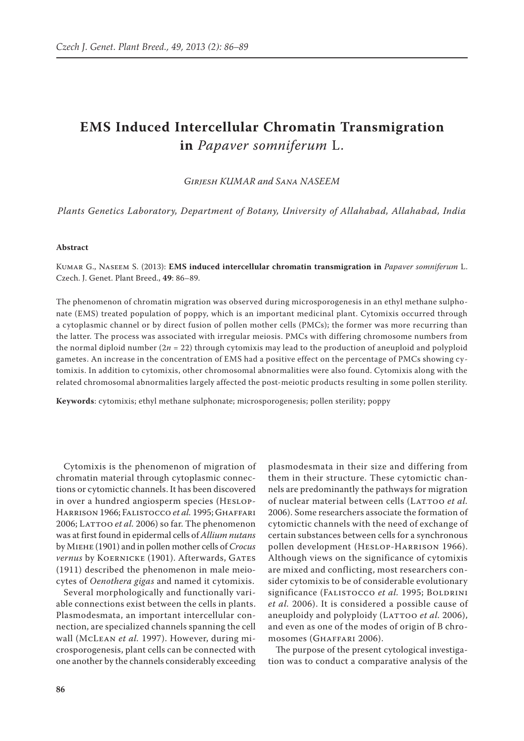## **EMS Induced Intercellular Chromatin Transmigration in** *Papaver somniferum* L.

*Girjesh KUMAR and Sana NASEEM*

*Plants Genetics Laboratory, Department of Botany, University of Allahabad, Allahabad, India*

## **Abstract**

Kumar G., Naseem S. (2013): **EMS induced intercellular chromatin transmigration in** *Papaver somniferum* L. Czech. J. Genet. Plant Breed., **49**: 86–89.

The phenomenon of chromatin migration was observed during microsporogenesis in an ethyl methane sulphonate (EMS) treated population of poppy, which is an important medicinal plant. Cytomixis occurred through a cytoplasmic channel or by direct fusion of pollen mother cells (PMCs); the former was more recurring than the latter. The process was associated with irregular meiosis. PMCs with differing chromosome numbers from the normal diploid number (2*n* = 22) through cytomixis may lead to the production of aneuploid and polyploid gametes. An increase in the concentration of EMS had a positive effect on the percentage of PMCs showing cytomixis. In addition to cytomixis, other chromosomal abnormalities were also found. Cytomixis along with the related chromosomal abnormalities largely affected the post-meiotic products resulting in some pollen sterility.

**Keywords**: cytomixis; ethyl methane sulphonate; microsporogenesis; pollen sterility; poppy

Cytomixis is the phenomenon of migration of chromatin material through cytoplasmic connections or cytomictic channels. It has been discovered in over a hundred angiosperm species (Heslop-Harrison 1966; Falistocco *et al.* 1995; Ghaffari 2006; LATTOO *et al.* 2006) so far. The phenomenon was at first found in epidermal cells of *Allium nutans* by Miehe (1901) and in pollen mother cells of *Crocus vernus* by KOERNICKE (1901). Afterwards, GATES (1911) described the phenomenon in male meiocytes of *Oenothera gigas* and named it cytomixis.

Several morphologically and functionally variable connections exist between the cells in plants. Plasmodesmata, an important intercellular connection, are specialized channels spanning the cell wall (McLean *et al.* 1997). However, during microsporogenesis, plant cells can be connected with one another by the channels considerably exceeding

plasmodesmata in their size and differing from them in their structure. These cytomictic channels are predominantly the pathways for migration of nuclear material between cells (LATTOO et al. 2006). Some researchers associate the formation of cytomictic channels with the need of exchange of certain substances between cells for a synchronous pollen development (Heslop-Harrison 1966). Although views on the significance of cytomixis are mixed and conflicting, most researchers consider cytomixis to be of considerable evolutionary significance (FALISTOCCO et al. 1995; BOLDRINI *et al.* 2006). It is considered a possible cause of aneuploidy and polyploidy (LATTOO *et al.* 2006), and even as one of the modes of origin of B chromosomes (Ghaffari 2006).

The purpose of the present cytological investigation was to conduct a comparative analysis of the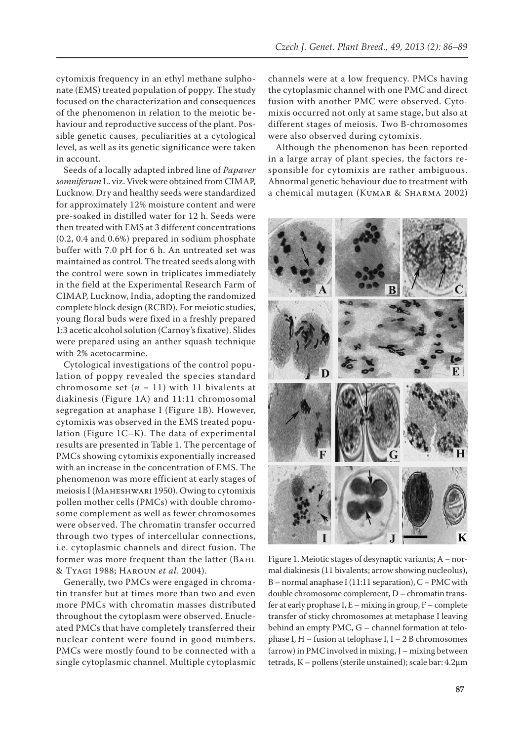cytomixis frequency in an ethyl methane sulphonate (EMS) treated population of poppy. The study focused on the characterization and consequences of the phenomenon in relation to the meiotic behaviour and reproductive success of the plant. Possible genetic causes, peculiarities at a cytological level, as well as its genetic significance were taken in account.

Seeds of a locally adapted inbred line of *Papaver somniferum* L. viz. Vivek were obtained from CIMAP, Lucknow. Dry and healthy seeds were standardized for approximately 12% moisture content and were pre-soaked in distilled water for 12 h. Seeds were then treated with EMS at 3 different concentrations (0.2, 0.4 and 0.6%) prepared in sodium phosphate buffer with 7.0 pH for 6 h. An untreated set was maintained as control. The treated seeds along with the control were sown in triplicates immediately in the field at the Experimental Research Farm of CIMAP, Lucknow, India, adopting the randomized complete block design (RCBD). For meiotic studies, young floral buds were fixed in a freshly prepared 1:3 acetic alcohol solution (Carnoy's fixative). Slides were prepared using an anther squash technique with 2% acetocarmine.

Cytological investigations of the control population of poppy revealed the species standard chromosome set  $(n = 11)$  with 11 bivalents at diakinesis (Figure 1A) and 11:11 chromosomal segregation at anaphase I (Figure 1B). However, cytomixis was observed in the EMS treated population (Figure 1C–K). The data of experimental results are presented in Table 1. The percentage of PMCs showing cytomixis exponentially increased with an increase in the concentration of EMS. The phenomenon was more efficient at early stages of meiosis I (Maheshwari 1950). Owing to cytomixis pollen mother cells (PMCs) with double chromosome complement as well as fewer chromosomes were observed. The chromatin transfer occurred through two types of intercellular connections, i.e. cytoplasmic channels and direct fusion. The former was more frequent than the latter (BAHL & Tyagi 1988; Haroun *et al.* 2004).

Generally, two PMCs were engaged in chromatin transfer but at times more than two and even more PMCs with chromatin masses distributed throughout the cytoplasm were observed. Enucleated PMCs that have completely transferred their nuclear content were found in good numbers. PMCs were mostly found to be connected with a single cytoplasmic channel. Multiple cytoplasmic channels were at a low frequency. PMCs having the cytoplasmic channel with one PMC and direct fusion with another PMC were observed. Cytomixis occurred not only at same stage, but also at different stages of meiosis. Two B-chromosomes were also observed during cytomixis.

Although the phenomenon has been reported in a large array of plant species, the factors responsible for cytomixis are rather ambiguous. Abnormal genetic behaviour due to treatment with a chemical mutagen (Kumar & Sharma 2002)



Figure 1. Meiotic stages of desynaptic variants; A – normal diakinesis (11 bivalents; arrow showing nucleolus), B – normal anaphase I (11:11 separation), C – PMC with double chromosome complement, D – chromatin transfer at early prophase  $I, E -$  mixing in group,  $F -$  complete transfer of sticky chromosomes at metaphase I leaving behind an empty PMC, G – channel formation at telophase I,  $H$  – fusion at telophase I,  $I$  – 2 B chromosomes (arrow) in PMC involved in mixing, J – mixing between tetrads, K – pollens (sterile unstained); scale bar: 4.2µm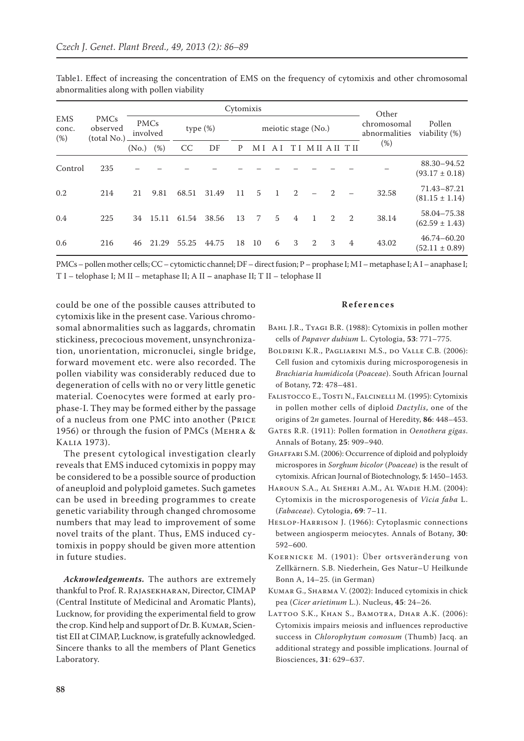|                               | <b>PMCs</b><br>observed<br>(total No.) | Cytomixis               |       |             |       |                     |                |    |                |                |                | Other          |                              |                                       |
|-------------------------------|----------------------------------------|-------------------------|-------|-------------|-------|---------------------|----------------|----|----------------|----------------|----------------|----------------|------------------------------|---------------------------------------|
| <b>EMS</b><br>conc.<br>$(\%)$ |                                        | <b>PMCs</b><br>involved |       | type $(\%)$ |       | meiotic stage (No.) |                |    |                |                |                |                | chromosomal<br>abnormalities | Pollen<br>viability (%)               |
|                               |                                        | (No.)                   | (%)   | <b>CC</b>   | DF    | P                   | M I            | ΑI |                | M              |                | T H            | (%)                          |                                       |
| Control                       | 235                                    |                         |       |             |       |                     |                |    |                |                |                |                |                              | 88.30-94.52<br>$(93.17 \pm 0.18)$     |
| 0.2                           | 214                                    | 21                      | 9.81  | 68.51       | 31.49 | 11                  | $\overline{5}$ | 1  | $\mathfrak{D}$ |                | $\mathcal{D}$  |                | 32.58                        | 71.43-87.21<br>$(81.15 \pm 1.14)$     |
| 0.4                           | 225                                    | 34                      | 15.11 | 61.54       | 38.56 | 13                  | $7^{\circ}$    | 5  | $\overline{4}$ | $\overline{1}$ | $\overline{2}$ | <sup>2</sup>   | 38.14                        | 58.04-75.38<br>$(62.59 \pm 1.43)$     |
| 0.6                           | 216                                    | 46                      | 21.29 | 55.25       | 44.75 | 18                  | 10             | 6  | 3              | 2              | 3              | $\overline{4}$ | 43.02                        | $46.74 - 60.20$<br>$(52.11 \pm 0.89)$ |

Table1. Effect of increasing the concentration of EMS on the frequency of cytomixis and other chromosomal abnormalities along with pollen viability

PMCs – pollen mother cells;CC – cytomictic channel; DF – direct fusion; P – prophase I; M I – metaphase I; A I – anaphase I; T I – telophase I; M II – metaphase II; A II **–** anaphase II; T II – telophase II

could be one of the possible causes attributed to cytomixis like in the present case. Various chromosomal abnormalities such as laggards, chromatin stickiness, precocious movement, unsynchronization, unorientation, micronuclei, single bridge, forward movement etc. were also recorded. The pollen viability was considerably reduced due to degeneration of cells with no or very little genetic material. Coenocytes were formed at early prophase-I. They may be formed either by the passage of a nucleus from one PMC into another (Price 1956) or through the fusion of PMCs (Mehra & Kalia 1973).

The present cytological investigation clearly reveals that EMS induced cytomixis in poppy may be considered to be a possible source of production of aneuploid and polyploid gametes. Such gametes can be used in breeding programmes to create genetic variability through changed chromosome numbers that may lead to improvement of some novel traits of the plant. Thus, EMS induced cytomixis in poppy should be given more attention in future studies.

*Acknowledgements.* The authors are extremely thankful to Prof. R. Rajasekharan, Director, CIMAP (Central Institute of Medicinal and Aromatic Plants), Lucknow, for providing the experimental field to grow the crop. Kind help and support of Dr. B. KUMAR, Scientist EII at CIMAP, Lucknow, is gratefully acknowledged. Sincere thanks to all the members of Plant Genetics Laboratory.

## **References**

- Bahl J.R., Tyagi B.R. (1988): Cytomixis in pollen mother cells of *Papaver dubium* L. Cytologia, **53**: 771–775.
- Boldrini K.R., Pagliarini M.S., do Valle C.B. (2006): Cell fusion and cytomixis during microsporogenesis in *Brachiaria humidicola* (*Poaceae*). South African Journal of Botany, **72**: 478–481.
- Falistocco E., Tosti N., Falcinelli M. (1995): Cytomixis in pollen mother cells of diploid *Dactylis*, one of the origins of 2*n* gametes. Journal of Heredity, **86**: 448–453.
- Gates R.R. (1911): Pollen formation in *Oenothera gigas*. Annals of Botany, **25**: 909–940.
- Ghaffari S.M. (2006): Occurrence of diploid and polyploidy microspores in *Sorghum bicolor* (*Poaceae*) is the result of cytomixis. African Journal of Biotechnology, **5**: 1450–1453.
- Haroun S.A., Al Shehri A.M., Al Wadie H.M. (2004): Cytomixis in the microsporogenesis of *Vicia faba* L. (*Fabaceae*). Cytologia, **69**: 7–11.
- Heslop-Harrison J. (1966): Cytoplasmic connections between angiosperm meiocytes. Annals of Botany, **30**: 592–600.
- Koernicke M. (1901): Über ortsveränderung von Zellkärnern. S.B. Niederhein, Ges Natur–U Heilkunde Bonn A, 14–25. (in German)
- Kumar G., Sharma V. (2002): Induced cytomixis in chick pea (*Cicer arietinum* L.). Nucleus, **45**: 24–26.
- Lattoo S.K., Khan S., Bamotra, Dhar A.K. (2006): Cytomixis impairs meiosis and influences reproductive success in *Chlorophytum comosum* (Thumb) Jacq. an additional strategy and possible implications. Journal of Biosciences, **31**: 629–637.